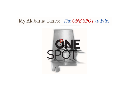# My Alabama Taxes: The ONE SPOT to File!

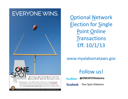

Optional Network **Election for <u>S</u>ingle** Point Online Transactions Eff. 10/1/13

## www.myalabamataxes.gov

## Follow us!

**@ONESPOTAlabama Lwitter** 

One Spot Alabama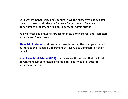Local governments (cities and counties) have the authority to administer their own taxes, authorize the Alabama Department of Revenue to administer their taxes, or hire <sup>a</sup> third‐party tax administrator.

You will often see or hear reference to 'State‐administered' and 'Non‐state administered' local taxes:

**State Administered** local taxes are those taxes that the local government authorized the Alabama Department of Revenue to administer on their behalf.

**Non‐State Administered (NSA)** local taxes are those taxes that the local government self‐administers or hired <sup>a</sup> third party administrator to administer for them.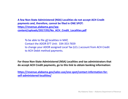**A few Non‐State Administered (NSA) Localities do not accept ACH Credit payments and, therefore, cannot be filed in ONE SPOT: https://revenue.alabama.gov/wp‐ [content/uploads/2017/05/No\\_ACH\\_Credit\\_Localities.pdf](https://revenue.alabama.gov/wp-content/uploads/2017/05/No_ACH_Credit_Localities.pdf)**

To be able to file all localities in MAT, Contact the ADOR EFT Unit: 334‐353‐7659 to change your ADOR assigned Local Tax (LCL‐) account from ACH Credit to ACH Debit method payments.

**For those Non‐State Administered (NSA) Localities and tax administrators that do accept ACH Credit payments, go to this link to obtain banking information:**

**[https://revenue.alabama.gov/sales](https://revenue.alabama.gov/sales-use/one-spot/contact-information-for-self-administered-localities/)‐use/one‐spot/contact‐information‐for‐ self‐administered‐localities/**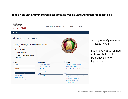#### **To file Non‐State Administered local taxes, as well as State Administered local taxes:**

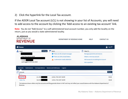### 2) Click the hyperlink for the Local Tax account.

If the ADOR Local Tax account (LCL) is not showing in your list of Accounts, you will need to add access to the account by clicking the 'Add access to an existing tax account' link.

**Note:** You do not "Add Access" to <sup>a</sup> self‐administered local account number, you only add the locality on the return, just as you would <sup>a</sup> state‐administered locality.



The balances shown reflect only the accounts and filing periods shown in MAT and may not reflect your overall balance with the Alabama Department of Revenue.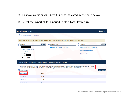- 3) This taxpayer is an ACH Credit Filer as indicated by the note below.
- 4) Select the hyperlink for <sup>a</sup> period to file <sup>a</sup> Local Tax return.

| <b>My Alabama Taxes</b>                     |                |                                                                                                                                                                                                                                                            |                             | <b>a</b> Log Off    |
|---------------------------------------------|----------------|------------------------------------------------------------------------------------------------------------------------------------------------------------------------------------------------------------------------------------------------------------|-----------------------------|---------------------|
| My Alabama Taxes > Local Tax                |                |                                                                                                                                                                                                                                                            |                             |                     |
|                                             |                |                                                                                                                                                                                                                                                            |                             |                     |
|                                             |                | The Local Tax return has been updated. Please take a moment to familiarize yourself with the new layout.                                                                                                                                                   |                             |                     |
| Account                                     | Settings       | <b>Account Alerts</b>                                                                                                                                                                                                                                      | 目<br>I Want To              | More                |
|                                             |                | <b>t</b> There are 5 unread messages                                                                                                                                                                                                                       | Manage payments and returns |                     |
| <b>LOCAL TAX UNIT ADOR</b><br>*****8984     |                |                                                                                                                                                                                                                                                            | Make a billing payment      |                     |
| $\Rightarrow$ Local Tax<br>LCL-R0           |                |                                                                                                                                                                                                                                                            | Ask a question              |                     |
| <b>Balance: \$0.00</b>                      |                |                                                                                                                                                                                                                                                            |                             |                     |
| <b>Recent Periods</b><br><b>Submissions</b> | Correspondence | <b>Names and Addresses</b><br>Logons                                                                                                                                                                                                                       |                             |                     |
|                                             |                | Our records indicate you are an EFT ACH Credit Method payer. You must initiate payments through your banking institution. If you wish to<br>switch from ACH Credit Method to ACH Debit Method or Pay by Check, please call our EFT Unit at 1-877-256-2447. |                             |                     |
| <b>Recent Periods</b><br>P                  |                |                                                                                                                                                                                                                                                            |                             | <b>View Periods</b> |
| 31-Jan-2018                                 | \$0.00         |                                                                                                                                                                                                                                                            |                             |                     |
| 31-Dec-2017                                 | \$0.00         |                                                                                                                                                                                                                                                            |                             |                     |
| 30-Nov-2017                                 | \$0.00         |                                                                                                                                                                                                                                                            |                             |                     |
| $21 - \sqrt{6} + 2017$                      | so oo          |                                                                                                                                                                                                                                                            |                             |                     |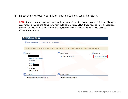### 5) Select the **File Now** hyperlink for <sup>a</sup> period to file <sup>a</sup> Local Tax return.

**NOTE:** The local return payment is made with the return filing. The 'Make <sup>a</sup> payment' link should only be used for additional payments for State Administered local taxes **ONLY**. If you need to make an additional payment to <sup>a</sup> Non‐State Administered Locality, you will need to contact that locality or their tax administrator directly.

| <b>My Alabama Taxes</b>                                                                                  |                            |                       |
|----------------------------------------------------------------------------------------------------------|----------------------------|-----------------------|
| My Alabama Taxes > Local Tax > 31-Jan-2018                                                               |                            |                       |
|                                                                                                          |                            |                       |
| The Local Tax return has been updated. Please take a moment to familiarize yourself with the new layout. |                            |                       |
| Period                                                                                                   | <b>Period Alerts</b>       | E<br>I Want To        |
|                                                                                                          | There are no alerts        | File or view a return |
| <b>LOCAL TAX UNIT ADOR</b><br>*****8984                                                                  |                            |                       |
| <b>Local Tax</b><br>LCL-R00                                                                              |                            |                       |
| $\Rightarrow$<br>31-Jan-2018                                                                             |                            |                       |
| <b>Balance: \$0.00</b>                                                                                   |                            |                       |
| 匪<br>Summary                                                                                             | <b>Period Activity</b>     |                       |
| There has been no financial activity                                                                     | There has been no activity |                       |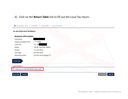### 6) Click on the **Return Table** link to fill out the Local Tax return.

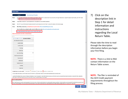

7) Click on the description link in Step 1 for detail information and instructionsregarding the Local Return Table.

Please take the time to read through the description information before you begin your first filing.

**NOTE:** There is <sup>a</sup> link to NSAcontact information on the Return Table screen.

**NOTE:** The filer is reminded of the ACH Credit payment requirements throughout the filing process.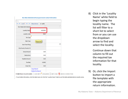| Filter                                                |                                      |   |  |
|-------------------------------------------------------|--------------------------------------|---|--|
| $1 of 1$ <sup>*</sup><br><b>ISLE</b><br>$\prec$<br>H. | <b>Show Errors</b><br>$1 - 1$ of $1$ |   |  |
| Non-State Administered                                |                                      |   |  |
| Locality Name                                         | <b>HOOVER</b>                        |   |  |
| <b>Locality Code</b>                                  | 9424                                 |   |  |
| <b>Tax Type</b>                                       |                                      |   |  |
| Rate Type                                             | Required                             |   |  |
| <b>One-Time Filing</b>                                |                                      | П |  |
| City/County Tax Acc't#                                |                                      |   |  |
| <b>Gross Amount</b>                                   | 0.00                                 |   |  |
| <b>Deductions</b>                                     | 0.00                                 |   |  |
| <b>Taxable Amount</b>                                 | 0.00                                 |   |  |
| <b>Tax Rate</b>                                       | 0.0000                               |   |  |
| <b>Gross Tax</b>                                      | 0.00                                 |   |  |
|                                                       | Copy Record                          |   |  |
|                                                       | Delete this Record                   |   |  |

· To sort table information, click the label name. Ex: Click the "Locality Name" label to sort the table alphabetically by locality name.

8) Click in the 'Locality Name' white field tobegin typing the locality name. The list will filter to a short list to select from or you can use the dropdown arrow to find and select the locality.

> Continue down that column to fill out the required tax information for that locality.

9) Or, click the Import button to import <sup>a</sup> file template with the appropriate return information.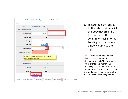

10) To add the next locality to the return, either click the **Copy Record** link at the bottom of the column, or click into the **Locality** field in the next empty column to the right.

**NOTE:** If you select the One‐Time Filing box, that column of information will **NOT** be on your return profile next month. One‐ Time Filing is used to indicate that you had taxes due in this locality one time and do not need to file <sup>a</sup> return for that locality each filing period.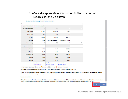### 11) Once the appropriate information is filled out on the return, click the **OK** button.

| Filter                 |                                                      |                       |                           |                          |
|------------------------|------------------------------------------------------|-----------------------|---------------------------|--------------------------|
|                        | 14 <4 1 of 1 <sup>*</sup> P> PI Show Errors 1-3 of 3 |                       |                           |                          |
| Non-State Administered | $\sqrt{}$                                            |                       |                           |                          |
| <b>Locality Name</b>   | <b>HOOVER</b>                                        | <b>ALLGOOD</b>        | <b>ARGO</b>               |                          |
| <b>Locality Code</b>   | 9424                                                 | 9709                  | 9729                      |                          |
| <b>Tax Type</b>        | <b>Sales Tax</b>                                     | Sales Tax             | <b>Sales Tax</b>          |                          |
| Rate Type              | General                                              | Farm Machines & Equip | Farm Machines & Equip     |                          |
| <b>One-Time Filing</b> | $\Box$                                               | $\Box$                | П                         | $\overline{\phantom{a}}$ |
| City/County Tax Acc't# | 054689                                               |                       |                           |                          |
| <b>Gross Amount</b>    | 5,165.00                                             | 745.87                | 62,456.35                 |                          |
| <b>Deductions</b>      | 654.00                                               | 0.00                  | 0.00                      |                          |
| <b>Taxable Amount</b>  | 4,511.00                                             | 745.87                | 62,456.35                 |                          |
| <b>Tax Rate</b>        | 3.0000                                               | 3.0000                | 1.5000                    |                          |
| <b>Gross Tax</b>       | 135.33                                               | 22.38                 | 936.85                    |                          |
|                        | Copy Record                                          | Copy Record           | Copy Record               |                          |
|                        | Delete this Record                                   | Delete this Record    | <b>Delete this Record</b> |                          |

· To sort table information, click the label name. Ex: Click the "Locality Name" label to sort the table alphabetically by locality name.

. Use the Filter field to find a column of data on the table. Ex: Type "Huntsville" in the Filter field and press your Enter key to pull up records that include Huntsville. To clear the Filter, delete the information in the Filter field and press your Enter key to return to the full table of information.

#### **Note to ACH Credit Filers:**

ACH Credit Payments must be made separately to the city/county or their tax administrators to avoid possible late pay penalties. Certain localities do not accept ACH Credit Method payments and will error when selected in the City/County drop-down above. If you wish to switch from ACH Credit Method to ACH Debit Method, please call our EFT Unit at 1-877-256-2447.

Cancel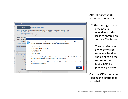| <b>Return Table</b>       |                                                        |                                                                                                                                                                                                                                   |
|---------------------------|--------------------------------------------------------|-----------------------------------------------------------------------------------------------------------------------------------------------------------------------------------------------------------------------------------|
|                           | Import                                                 | <b>Download Import Template</b>                                                                                                                                                                                                   |
| Step 1:                   | of each field on this return.                          | Enter a locality's information into the blank column below, start with the "Locality Name" box and continue<br>through "deductions"; repeat this step for each locality, click "OK". Need help? Click here for a full description |
| Step 2:                   |                                                        | If applicable, review the "County Expectancies" and update any errors noted by asterisks.                                                                                                                                         |
| Step 3:                   |                                                        | Click "OK" ance all information has heen entered for each locality then click "Next" to review the totals on the Ovenriew name                                                                                                    |
| Notes:                    | <b>When filin</b>                                      |                                                                                                                                                                                                                                   |
|                           | Some loc<br><b>Non-State Administ</b>                  | You have filed for municipalities without adding their corresponding county. The following<br>counties may need to be added to this return to make it more complete:                                                              |
| Filter<br>$1 - 1 - 1 = 1$ | <b>Click the button bel</b><br>1 of 1<br>$\Rightarrow$ | <b>BLOUNT COUNTY</b><br>JEFFERSON CO SPECIAL REVENUE<br><b>JEFFERSON COUNTY</b><br><b>SHELBY COUNTY</b><br><b>ST CLAIR COUNTY</b>                                                                                                 |
|                           | Non-State Admini<br>Locality                           | Click OK to close this box, then click the County Expectancies button above the table to select<br>counties to add to the return and continue with the filing process.                                                            |
|                           | Locality<br>Ta:                                        | If you do not wish to add any of these counties, click OK to close this box and then click Next to<br>continue filing without them.                                                                                               |
|                           | Rate                                                   |                                                                                                                                                                                                                                   |
|                           | One-Time                                               |                                                                                                                                                                                                                                   |
|                           | City/County Tax Acc't #                                | 054689                                                                                                                                                                                                                            |

After clicking the OK button on the return…

12) The message shown in the popup is dependent on the localities entered on the Local Tax Return.

> The counties listedare county filing expectancies that should exist on the return for the municipalities previously entered.

Click the **OK** button after reading the information provided.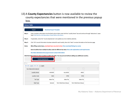13) A **County Expectancies** button is now available to review the county expectancies that were mentioned in the previous popup box.

|                | <b>Return Table</b>                                                                                                              |                                                                                                                                                                                                                  |                                                                                                                        |                       |  |  |  |
|----------------|----------------------------------------------------------------------------------------------------------------------------------|------------------------------------------------------------------------------------------------------------------------------------------------------------------------------------------------------------------|------------------------------------------------------------------------------------------------------------------------|-----------------------|--|--|--|
|                | Import                                                                                                                           | <b>Download Import Template</b>                                                                                                                                                                                  |                                                                                                                        |                       |  |  |  |
| Step 1:        |                                                                                                                                  | Enter a locality's information into the blank column below, start with the "Locality Name" box and continue through "deductions"; repea<br>help? Click here for a full description of each field on this return. |                                                                                                                        |                       |  |  |  |
| Step 2:        | If applicable, review the "County Expectancies" and update any errors noted by asterisks.                                        |                                                                                                                                                                                                                  |                                                                                                                        |                       |  |  |  |
| Step 3:        | Click "OK" once all information has been entered for each locality, then click "Next" to review the totals on the Overview page. |                                                                                                                                                                                                                  |                                                                                                                        |                       |  |  |  |
| Notes:         |                                                                                                                                  |                                                                                                                                                                                                                  | When filing county taxes, municipal taxes may also be due: View municipal listings by county                           |                       |  |  |  |
|                |                                                                                                                                  |                                                                                                                                                                                                                  | Some localities have multiple locality codes for different tax rates: View code explanations and requirements          |                       |  |  |  |
|                |                                                                                                                                  | Non-State Administered local government contact information                                                                                                                                                      |                                                                                                                        |                       |  |  |  |
| Filter         |                                                                                                                                  | <b>County Expectancies</b>                                                                                                                                                                                       | Click the button below to select counties to add to the table. You may proceed without adding any additional counties. |                       |  |  |  |
| $\blacksquare$ | 1 of 1<br>$\blacktriangleright$ $\blacktriangleright$ $\blacktriangleright$ $\dashv$                                             | $1 - 3$ of 3                                                                                                                                                                                                     |                                                                                                                        |                       |  |  |  |
|                | Non-State Administered                                                                                                           | $\sqrt{}$                                                                                                                                                                                                        |                                                                                                                        |                       |  |  |  |
|                | <b>Locality Name</b>                                                                                                             | <b>HOOVER</b>                                                                                                                                                                                                    | <b>ALLGOOD</b>                                                                                                         | ARGO                  |  |  |  |
|                | <b>Locality Code</b>                                                                                                             | 9424                                                                                                                                                                                                             | 9709                                                                                                                   | 9729                  |  |  |  |
|                | <b>Tax Type</b>                                                                                                                  | Sales Tax                                                                                                                                                                                                        | Sales Tax                                                                                                              | Sales Tax             |  |  |  |
|                | Rate Type                                                                                                                        | General                                                                                                                                                                                                          | Farm Machines & Equip                                                                                                  | Farm Machines & Equip |  |  |  |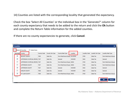14) Counties are listed with the corresponding locality that generated the expectancy.

Check the box 'Select All Counties' or the individual box in the 'Generate?' column for each county expectancy that needs to be added to the return and click the **Ok** button and complete the Return Table information for the added counties.

If there are no county expectancies to generate, click **Cancel**.

| $\mathbf x$<br><b>Counties</b> |                      |                                  |             |                 |                               |               |               |                   |                           |
|--------------------------------|----------------------|----------------------------------|-------------|-----------------|-------------------------------|---------------|---------------|-------------------|---------------------------|
|                                | Select All Counties  | <b>Select None</b>               |             |                 |                               |               |               |                   |                           |
| Generate?                      | County               |                                  | County Code | County Tax Type | County Rate Type              | Locality      | Locality Code | Locality Tax Type | <b>Locality Rate Type</b> |
| $\overline{\mathcal{L}}$       | <b>BLOUNT COUNTY</b> |                                  | 7005        | Sales Tax       | Farm Machines & Equip ALLGOOD |               | 9709          | Sales Tax         | Farm Machines & Equip     |
| $\overline{\mathcal{J}}$       |                      | JEFFERSON CO SPECIAL REVENU 7337 |             | Sales Tax       | General                       | <b>HOOVER</b> | 9424          | Sales Tax         | General                   |
| $\Box$                         |                      | JEFFERSON CO SPECIAL REVENU 7337 |             | Sales Tax       | Farm Machines & Equip   ARGO  |               | 9729          | Sales Tax         | Farm Machines & Equip     |
| $\Box$                         | JEFFERSON COUNTY     |                                  | 7037        | Sales Tax       | Farm Machines & Equip   ARGO  |               | 9729          | Sales Tax         | Farm Machines & Equip     |
| √                              | JEFFERSON COUNTY     |                                  | 7037        | Sales Tax       | General                       | <b>HOOVER</b> | 9424          | Sales Tax         | General                   |
| $\Box$                         | SHELBY COUNTY        |                                  | 7058        | Sales Tax       | General                       | <b>HOOVER</b> | 9424          | Sales Tax         | General                   |
| $\blacktriangledown$           | ST CLAIR COUNTY      |                                  | 7059        | Sales Tax       | Farm Machines & Equip   ARGO  |               | 9729          | Sales Tax         | Farm Machines & Equip     |
| <b>7 Rows</b>                  |                      |                                  |             |                 |                               |               |               |                   |                           |
|                                |                      |                                  |             |                 |                               |               |               |                   | OK<br><b>Cancel</b>       |
|                                |                      |                                  |             |                 |                               |               |               |                   |                           |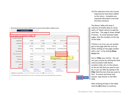| Filter                 |                                                                                            |                           |                       |                                             |                |
|------------------------|--------------------------------------------------------------------------------------------|---------------------------|-----------------------|---------------------------------------------|----------------|
|                        | $14 \leq 10f2$ <b>b&gt; B1</b> Show Errors 1-4 of 7                                        |                           |                       |                                             |                |
| Non-State Administered | $\sqrt{}$                                                                                  |                           |                       |                                             |                |
| <b>Locality Name</b>   | <b>HOOVER</b>                                                                              | <b>ALLGOOD</b>            | <b>ARGO</b>           | <b>BLOUNT COUNTY</b>                        |                |
| <b>Locality Code</b>   | 9424                                                                                       | 9709                      | 9729                  | 7005                                        |                |
| <b>Tax Type</b>        | <b>Sales Tax</b>                                                                           | Sales Tax                 | <b>Sales Tax</b>      | Sales Tax                                   |                |
| Rate Type              | General                                                                                    | Farm Machines & Equip     | Farm Machines & Equip | Farm Machines & Equip                       |                |
| <b>One-Time Filing</b> | $\blacksquare$                                                                             | F                         |                       |                                             | $\blacksquare$ |
| City/County Tax Acc't# | 054689                                                                                     |                           |                       |                                             |                |
| <b>Gross Amount</b>    | 5,165.00                                                                                   | 745.87                    |                       | Enter tax ID assigned by the City/County or |                |
| <b>Deductions</b>      | 654.00                                                                                     | 0.00                      | <b>TELETER</b>        | their tax administrator.<br><b>U.UU</b>     |                |
| <b>Taxable Amount</b>  | 4,511.00                                                                                   | 745.87                    | 62,456.35             | 0.00                                        |                |
| <b>Tax Rate</b>        | 3.0000                                                                                     | 3.0000                    | 1.5000                | 1.0000                                      |                |
| <b>Gross Tax</b>       | 135.33                                                                                     | 22.38                     | 936.85                | 0.00                                        |                |
|                        | Copy Record                                                                                | Copy Record               | Copy Record           | Copy Record                                 |                |
|                        | Delete this Record<br>FORM FIELD COLOR GUIDE: ADD INFO REQUIRED NIFO ONLY REEDS CORRECTION | <b>Delete this Record</b> | Delete this Record    | Delete this Record                          |                |

15) The selections from the County Expectancies have been added to the return. Complete any required information and enter the Gross Amount.

The Return Table will show 4 columns of locality data at <sup>a</sup> time, with a 5<sup>th</sup> blank column to add the next item. This page **1** shows **1‐4 of 7** entries. To move between table pages, click the numbers at the top of the table.

If there is an error, you can quickly get to the page with the error by either clicking on the page number with <sup>a</sup> red \* or by clicking **Show Errors** link.

Sort or **Filter** your entries. You can sort your entries by clicking the field name (Locality Code Name, Location Code, etc.) in the column on the far left that you want to sort by, or you can filter by typing in the **Filter** field the item that you want to find. To search and show only Hoover, type Hoover in the filter field.

After entering all data in the table, click the **OK** button to continue.

Cancel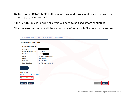16) Next to the **Return Table** button, <sup>a</sup> message and corresponding icon indicate the status of the Return Table.

If the Return Table is in error, all errors will need to be fixed before continuing.

Click the **Next** button once all the appropriate information is filled out on the return.

|                                          | or My Alabama Taxes > Local Tax > 31-Jan-2018 > Local Tax Return |  |
|------------------------------------------|------------------------------------------------------------------|--|
| 31-Jan-2018 Local Tax Return             |                                                                  |  |
| <b>Request Information</b>               |                                                                  |  |
| Username                                 |                                                                  |  |
| Pseudo Employer ID#                      | *****8984                                                        |  |
| <b>Local Tax</b>                         | LCL-R00                                                          |  |
| Name                                     | <b>LOCAL TAX UNIT ADOR</b>                                       |  |
| Period                                   | 31-Jan-2018                                                      |  |
| Due Date:                                | 20-Feb-2018                                                      |  |
| <b>Remit Due Date:</b>                   | 20-Feb-2018 4:00pm CT                                            |  |
| 1. Enter Data                            |                                                                  |  |
| <b>Local Tax Return</b>                  |                                                                  |  |
| Click here to edit ONE SPOT return table |                                                                  |  |
| <b>Return Table is valid</b>             |                                                                  |  |
| Save Draft<br>Cancel                     | Next<br><b>Previou</b>                                           |  |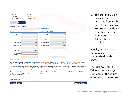| Period<br>Due Date:<br><b>Remit Due Date:</b><br>1. Enter Data | 31-Jan-2018<br>20-Feb-2018<br>20-Feb-2018 4:00pm CT<br>2. Overview |                                 |          |  |
|----------------------------------------------------------------|--------------------------------------------------------------------|---------------------------------|----------|--|
|                                                                |                                                                    |                                 |          |  |
| Local Tax Return (9501) Overview                               |                                                                    |                                 |          |  |
| <b>Total Item Count</b>                                        | $\overline{7}$                                                     | <b>Review Return Table</b><br>⊫ |          |  |
| State Administered (SA)                                        |                                                                    | Non-State Administered (NSA)    |          |  |
| <b>SA Line Items</b>                                           | 2                                                                  | <b>NSA line items</b>           | 5        |  |
| <b>SA Gross Tax</b>                                            | 959.23                                                             | <b>NSA Gross Tax</b>            | 857.57   |  |
| <b>SA Interest</b>                                             | 0.84                                                               | <b>NSA Interest</b>             | 0.76     |  |
| SA Late Pay Penalty                                            | 95.93                                                              | <b>NSA Late Pay Penalty</b>     | 85.76    |  |
| <b>SA Late File Penalty</b>                                    | 143.69                                                             | <b>NSA Late File Penalty</b>    | 262,46   |  |
| <b>SA Discount</b>                                             | 0.00                                                               | <b>NSA Discount</b>             | 0.00     |  |
| <b>SA Net Tax Due</b>                                          | 1,199.69                                                           |                                 |          |  |
| SA Credit Claimed<br>(ADOR Approved)                           | 0.00                                                               |                                 |          |  |
| SA Total Amount Due                                            | 1,199.69                                                           | <b>NSA Total Amount Due</b>     | 1,206.55 |  |

#### **Note to ACH Credit Filers:**

ACH Credit Payments must be made separately to the city/county or their tax administrators to avoid possible late pay penalties. Certain localities do not accept ACH Credit Method payments and will error when selected in the City/County drop-down above. If you wish to switch from ACH Credit Method to ACH Debit Method, please call our EFT Unit at 1-877-256-2447.

ADOR records indicate you are an EFT ACH Credit Method payer. You must initiate the payment(s) for the above transactions through your banking institution. Payment for state-administered city and county taxes must be made directly to the Alabama Department of Revenue's bank, and payment for self-administered city and county taxes must be made directly to the self-administered jurisdiction's bank or their tax administrator's bank. If you wish to switch from ACH Credit Method to ACH Debit Method, please call our EFT unit at 1-877-256-2447.

From the return confirmation page you can print a Payment Summary and an ACH Addenda Record Information file for your use in processing your ACH Credit Method payments. NOTE: To avoid losing your ACH Credit Method payment status, make payment to the correct payee and enter complete and accurate information in the TXP Banking Convention addenda record (found in the ACH Addenda Record Information file).

More information about ACH Credit Method requirements can be found here:

**ACH Credit Information** 



17) This summary page displays the amounts from each line of the Local Tax Return broken down by either State or Non‐StateAdministeredLocalities.

Penalty, Interest and Discounts aresummarized on this page.

The **Review Return Table** button displays <sup>a</sup> summary of the values entered into the return.

**く** Previous Submit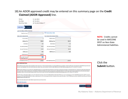### 18) An ADOR approved credit may be entered on this summary page on the **Credit Claimed (ADOR Approved)** line.

| Period<br>31-Jan-2018                                                                                                                                                                                                                                                                                                                                                                                                                                                                                                                                                 |                                    |
|-----------------------------------------------------------------------------------------------------------------------------------------------------------------------------------------------------------------------------------------------------------------------------------------------------------------------------------------------------------------------------------------------------------------------------------------------------------------------------------------------------------------------------------------------------------------------|------------------------------------|
| Due Date:<br>20-Feb-2018                                                                                                                                                                                                                                                                                                                                                                                                                                                                                                                                              |                                    |
| <b>Remit Due Date:</b><br>20-Feb-2018 4:00pm CT                                                                                                                                                                                                                                                                                                                                                                                                                                                                                                                       |                                    |
|                                                                                                                                                                                                                                                                                                                                                                                                                                                                                                                                                                       |                                    |
| 1. Enter Data<br>2. Overview                                                                                                                                                                                                                                                                                                                                                                                                                                                                                                                                          |                                    |
| Local Tax Return (9501) Overview                                                                                                                                                                                                                                                                                                                                                                                                                                                                                                                                      |                                    |
| Review Return Table<br>$\overline{7}$<br><b>Total Item Count</b>                                                                                                                                                                                                                                                                                                                                                                                                                                                                                                      |                                    |
| State Administered (SA)<br>Non-State Administered (NSA)                                                                                                                                                                                                                                                                                                                                                                                                                                                                                                               | <b>NOTE:</b> Credits cannot        |
| <b>SA Line Items</b><br>$\overline{2}$<br><b>NSA line items</b>                                                                                                                                                                                                                                                                                                                                                                                                                                                                                                       | 5<br>be used in MAT/ONE            |
| 959.23<br><b>NSA Gross Tax</b><br><b>SA Gross Tax</b>                                                                                                                                                                                                                                                                                                                                                                                                                                                                                                                 | 857.57<br><b>SPOT on Non-State</b> |
| <b>SA Interest</b><br>0.84<br><b>NSA Interest</b>                                                                                                                                                                                                                                                                                                                                                                                                                                                                                                                     | 0.76<br>Administered liabilities.  |
| <b>SA Late Pay Penalty</b><br>95.93<br><b>NSA Late Pay Penalty</b>                                                                                                                                                                                                                                                                                                                                                                                                                                                                                                    | 85.76                              |
| <b>SA Late File Penalty</b><br><b>NSA Late File Penalty</b><br>143.69                                                                                                                                                                                                                                                                                                                                                                                                                                                                                                 | 262.46                             |
| <b>SA Discount</b><br>0.00<br><b>NSA Discount</b>                                                                                                                                                                                                                                                                                                                                                                                                                                                                                                                     | 0.00                               |
| SA Net Tax Due<br>1,199.69                                                                                                                                                                                                                                                                                                                                                                                                                                                                                                                                            |                                    |
| SA Credit Claimed<br>(ADOR Approved)                                                                                                                                                                                                                                                                                                                                                                                                                                                                                                                                  |                                    |
| <b>SA Total Amount Due</b><br>1,199.69<br><b>NSA Total Amount Due</b>                                                                                                                                                                                                                                                                                                                                                                                                                                                                                                 | 1,206.55                           |
| <b>Note to ACH Credit Filers:</b>                                                                                                                                                                                                                                                                                                                                                                                                                                                                                                                                     | Click the                          |
| ACH Credit Payments must be made separately to the city/county or their tax administrators to avoid possible late pay penalties. Certain localities do not accept ACH Credit Method payments and<br>will error when selected in the City/County drop-down above. If you wish to switch from ACH Credit Method to ACH Debit Method, please call our EFT Unit at 1-877-256-2447.                                                                                                                                                                                        | <b>Submit button.</b>              |
| ADOR records indicate you are an EFT ACH Credit Method payer. You must initiate the payment(s) for the above transactions through your banking institution. Payment for state-administered city<br>and county taxes must be made directly to the Alabama Department of Revenue's bank, and payment for self-administered city and county taxes must be made directly to the self-administered<br>jurisdiction's bank or their tax administrator's bank. If you wish to switch from ACH Credit Method to ACH Debit Method, please call our EFT unit at 1-877-256-2447. |                                    |
| From the return confirmation page you can print a Payment Summary and an ACH Addenda Record Information file for your use in processing your ACH Credit Method payments. NOTE: To avoid<br>losing your ACH Credit Method payment status, make payment to the correct payee and enter complete and accurate information in the TXP Banking Convention addenda record (found in the ACH<br>Addenda Record Information file).                                                                                                                                            |                                    |
| More information about ACH Credit Method requirements can be found here:                                                                                                                                                                                                                                                                                                                                                                                                                                                                                              |                                    |
|                                                                                                                                                                                                                                                                                                                                                                                                                                                                                                                                                                       |                                    |
| <b>ACH Credit Information</b>                                                                                                                                                                                                                                                                                                                                                                                                                                                                                                                                         |                                    |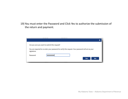19) You must enter the Password and Click Yes to authorize the submission of the return and payment.

|            | Are you sure you want to submit this request? |                                                                                                   |
|------------|-----------------------------------------------|---------------------------------------------------------------------------------------------------|
| signature. |                                               | You are required to re-enter your password to verify this request. Your password will act as your |
| Password   |                                               |                                                                                                   |
|            |                                               | <b>Yes</b><br><b>No</b>                                                                           |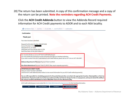20) The return has been submitted. A copy of this confirmation message and <sup>a</sup> copy of the return can be printed. **Note the reminders regarding ACH Credit Payments.**

Click the **ACH Credit Addenda** button to view the Addenda Record required information for ACH Credit payments to ADOR and to each NSA locality.



ACH Credit method payers must contact the Non-State Administered local government for their banking information.

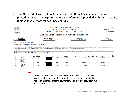21) This ACH Credit Payment Info Addenda Record PDF will be generated and can be printed or saved. The taxpayer can use the information provided in this file to create their addenda record for each payment due.



LCL-I

ALABAMA DEPARTMENT OF REVENUE SALES AND USE TAX DIVISION PO BOX 327790, MONTGOMERY AL 36132-7790

Form: 9501 **MAT Confirmation:** M2019971648

#### Alabama Local Tax Return - Credit Addenda Record

| <b>T FOR THE PERIOD OF</b> | <b>DATE RETURN FILED</b>    | <b>DUE DATE</b>      |
|----------------------------|-----------------------------|----------------------|
| 1-Jan-2018                 | PM<br>10<br>"K-Feh-∑<br>х ш | <sup>11</sup> Heb 22 |
|                            |                             |                      |

Name: LOCAL TAX UNIT ADOR

Address: 50 N RIPLEY ST MONTGOMERY AL 36130-1001

You are responsible for scheduling payments for the posted Amounts Due correctly to the appropriate Counties / Municipalities or their tax administrator. Payments made incorrectly may result in penality and interest charges for late or nonpayment, and may be denied the ability to file and pay via ACH Credit Method on future ONE SPOT returns for the affected locality.

ACH Credit Method payers must contact the Non-State Administered local government or their tax administrator for their banking information: http://revenue.alabama.gov/salestax/online/selfadmin.cfm

|             | Data Required in Free Form Area of Addenda Record for ACH Credit Payments: |        |                                                        |     |   |     |                                          |                                      |           |                |           |            |           |                    |           |                        |            |                   |
|-------------|----------------------------------------------------------------------------|--------|--------------------------------------------------------|-----|---|-----|------------------------------------------|--------------------------------------|-----------|----------------|-----------|------------|-----------|--------------------|-----------|------------------------|------------|-------------------|
| Payee       | <b>Locality Name</b>                                                       | Record | Addenda Segment<br>Type Type Code Identifier Separator |     |   |     | Taxpayer ID Separator Tax Code Separator | <b>Tax Period</b><br><b>End Date</b> | Separator | Amount<br>Type | Separator | Amount     | Separator | 18 space<br>Filler | Separator | Confirmation<br>Number | Terminator | 6 space<br>Filler |
| SELF        | <b>HOOVER</b>                                                              |        | 05                                                     | TXP |   | SC  | 04801                                    | 180131                               |           |                | ۰         | 0000019898 | ٠         |                    |           | M2019971648            |            |                   |
| SELF        | JEFFERSON CO<br><b>SPECIAL</b><br><b>REVENUE</b>                           |        | 05                                                     | TXP |   | SC  | 04801                                    | 180131                               | ٠         |                | ۰         | 0000009966 | ٠         |                    |           | M2019971648            |            |                   |
| SELF        | <b>ST CLAIR</b><br>COUNTY                                                  |        | 05                                                     | TXP | ٠ | SC  | 04801<br>۰                               | 180131                               |           |                |           | 0000075003 | ٠         |                    |           | M2019971648            |            |                   |
| <b>SELF</b> | <b>JEFFERSON</b><br>COUNTY                                                 |        | 05                                                     | TXP | ٠ | SC. | 04801<br>۰                               | 180131                               | ٠         |                |           | 0000009966 | ۰         |                    |           | M2019971648            |            |                   |

#### NOTE:

To avoid unnecessary correspondence regarding missing ACH Credit payments, it is important to provide the correct information in the Addenda Record so that the payments will quickly and accurately match to the returns.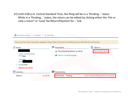22) Until 4:00 p.m. Central Standard Time, the filing will be in <sup>a</sup> 'Pending…' status. While in <sup>a</sup> 'Pending…' status, the return can be edited by clicking either the 'File or view <sup>a</sup> return' or 'Local Tax Return/Payment for…' link.

|                                                                                                                                           | The Local Tax return has been updated. Please take a moment to familiarize yourself with the new layout. |                                          |
|-------------------------------------------------------------------------------------------------------------------------------------------|----------------------------------------------------------------------------------------------------------|------------------------------------------|
| Period<br><b>LOCAL TAX UNIT ADOR</b><br>*****8984<br>Local Tax<br><b>LCL-R</b><br>$\Rightarrow$ 31-Jan-2018<br><b>Balance: \$1,199.69</b> | <b>Period Alerts</b><br>Pay outstanding balance: \$1,199.69<br>There is 1 unread message<br>Ð            | 目<br>I Want To<br>File or view a return  |
| 賱<br>Summary                                                                                                                              | <b>Period Activity</b>                                                                                   |                                          |
| Balance                                                                                                                                   | 28-Feb-2018<br>Pending<br>\$1,199.69                                                                     | Local Tax Return/Payment for 31-Jan-2018 |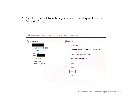23) Click the 'Edit' link to make adjustments to the filing while it is in <sup>a</sup> 'Pending…' status.

| Submission                                       | <b>Status</b>                            |
|--------------------------------------------------|------------------------------------------|
|                                                  | $\checkmark$ Pending                     |
| <b>LOCAL TAX UNIT ADOR</b><br>*****8984          | Local Tax Return/Payment for 31-Jan-2018 |
| <b>Local Tax</b><br>LCL-R0                       | Confirmation #2-019-971-648              |
| 31-Jan-2018                                      | Submitted 28-Feb-2018                    |
| $\Rightarrow$<br>Submission<br>Amount \$1,199.69 | View                                     |
|                                                  | Print                                    |
|                                                  | Edit                                     |
|                                                  | Delete                                   |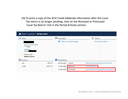24) To print <sup>a</sup> copy of the ACH Credit Addenda information after the Local Tax return is no longer pending, click on the Received or Processed 'Local Tax Return' link in the Period Activity section.

| Home » Local Tax » 30-Nov-2017                         |           |                 |                                    |                                          |
|--------------------------------------------------------|-----------|-----------------|------------------------------------|------------------------------------------|
| Period                                                 |           | Period Alerts   |                                    | E<br>I Want To                           |
| <b>LOCAL TAX UNIT ADOR</b><br>*****8984                |           |                 | <b>f</b> There is 1 unread message | File or view a return                    |
| <b>Local Tax</b><br>LCL-R00                            |           |                 |                                    |                                          |
| $\Rightarrow$<br>30-Nov-2017<br><b>Balance: \$0.00</b> |           |                 |                                    |                                          |
| 餔<br>Summary                                           |           | Period Activity |                                    |                                          |
| Tax                                                    | \$517.77  | 19-Dec-2017     | Posted                             | State Administered Payment for \$517.76  |
| Credit                                                 | (S517.77) | 11-Dec-2017     | Received                           | Local Tax Return                         |
|                                                        |           | 11-Dec-2017     | Processed                          | Local Tax Return/Payment for 30-Nov-2017 |